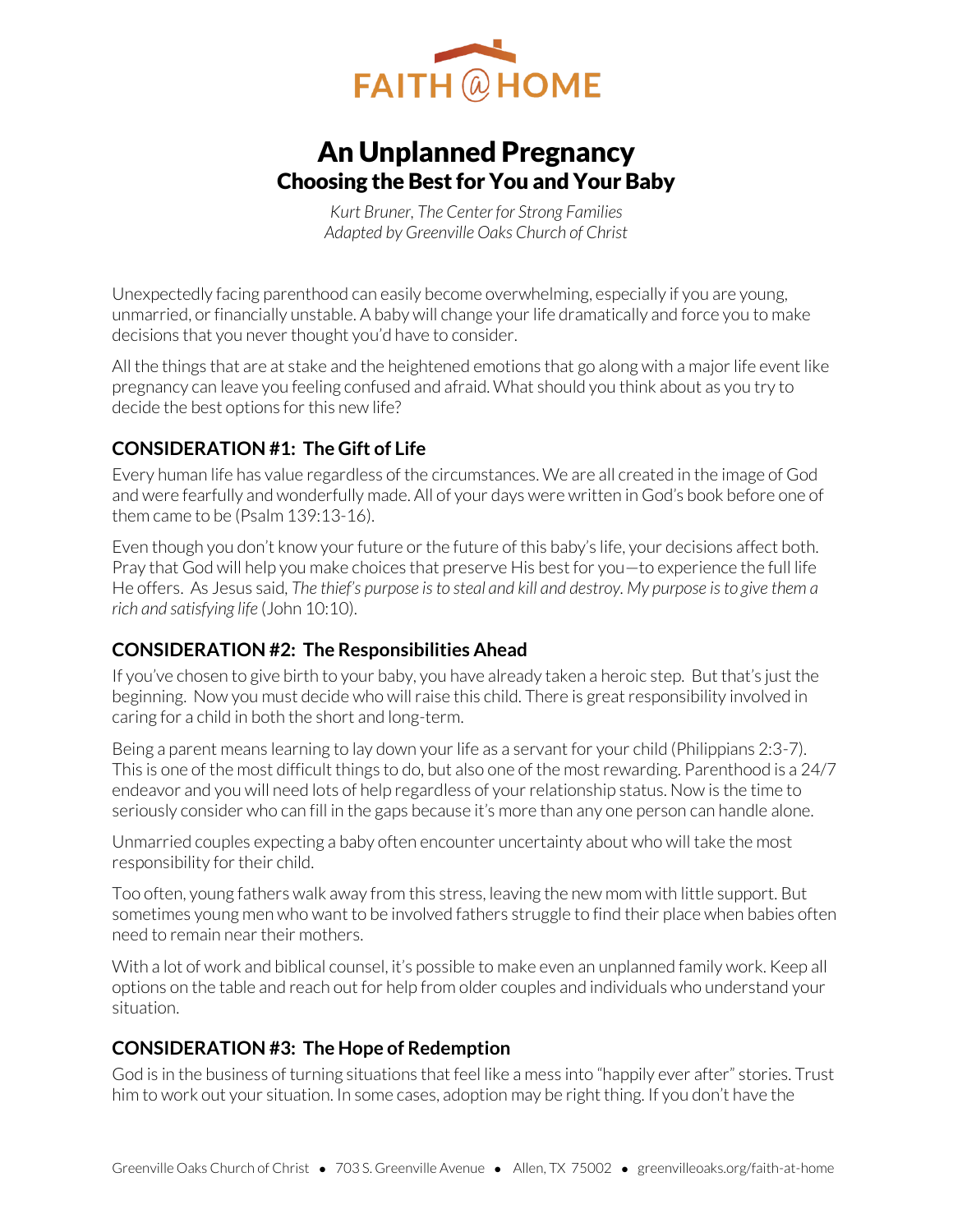

# An Unplanned Pregnancy Choosing the Best for You and Your Baby

*Kurt Bruner, The Center for Strong Families Adapted by Greenville Oaks Church of Christ* 

Unexpectedly facing parenthood can easily become overwhelming, especially if you are young, unmarried, or financially unstable. A baby will change your life dramatically and force you to make decisions that you never thought you'd have to consider.

All the things that are at stake and the heightened emotions that go along with a major life event like pregnancy can leave you feeling confused and afraid. What should you think about as you try to decide the best options for this new life?

# **CONSIDERATION #1: The Gift of Life**

Every human life has value regardless of the circumstances. We are all created in the image of God and were fearfully and wonderfully made. All of your days were written in God's book before one of them came to be (Psalm 139:13-16).

Even though you don't know your future or the future of this baby's life, your decisions affect both. Pray that God will help you make choices that preserve His best for you—to experience the full life He offers. As Jesus said*, The thief's purpose is to steal and kill and destroy. My purpose is to give them a rich and satisfying life* (John 10:10).

# **CONSIDERATION #2: The Responsibilities Ahead**

If you've chosen to give birth to your baby, you have already taken a heroic step. But that's just the beginning. Now you must decide who will raise this child. There is great responsibility involved in caring for a child in both the short and long-term.

Being a parent means learning to lay down your life as a servant for your child (Philippians 2:3-7). This is one of the most difficult things to do, but also one of the most rewarding. Parenthood is a 24/7 endeavor and you will need lots of help regardless of your relationship status. Now is the time to seriously consider who can fill in the gaps because it's more than any one person can handle alone.

Unmarried couples expecting a baby often encounter uncertainty about who will take the most responsibility for their child.

Too often, young fathers walk away from this stress, leaving the new mom with little support. But sometimes young men who want to be involved fathers struggle to find their place when babies often need to remain near their mothers.

With a lot of work and biblical counsel, it's possible to make even an unplanned family work. Keep all options on the table and reach out for help from older couples and individuals who understand your situation.

# **CONSIDERATION #3: The Hope of Redemption**

God is in the business of turning situations that feel like a mess into "happily ever after" stories. Trust him to work out your situation. In some cases, adoption may be right thing. If you don't have the